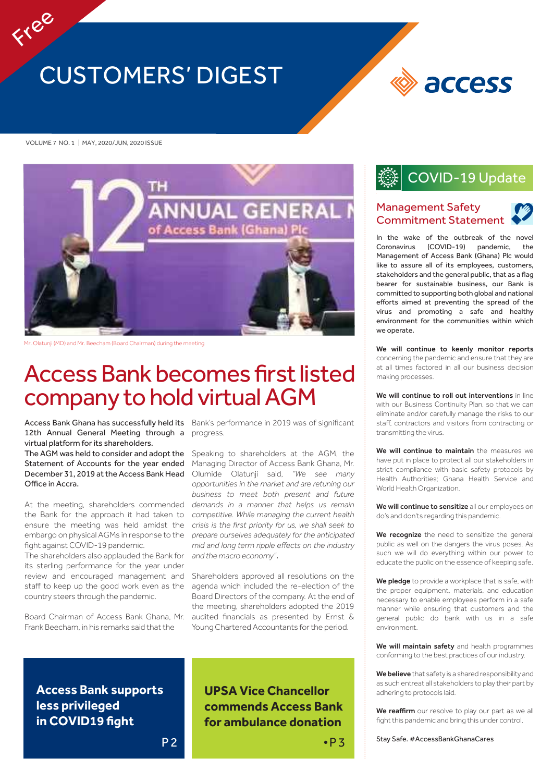# CUSTOMERS' DIGEST

access

#### VOLUME 7 NO. 1 | MAY, 2020/JUN, 2020 ISSUE

Free



Mr. Olatunji (MD) and Mr. Beecham (Board Chairman) during the meeting

# Access Bank becomes first listed company to hold virtual AGM

12th Annual General Meeting through a virtual platform for its shareholders.

The AGM was held to consider and adopt the Statement of Accounts for the year ended December 31, 2019 atthe Access Bank Head Office in Accra.

At the meeting, shareholders commended the Bank for the approach it had taken to ensure the meeting was held amidst the embargo on physical AGMs in response to the fight against COVID-19 pandemic.

The shareholders also applauded the Bank for its sterling performance for the year under review and encouraged management and staff to keep up the good work even as the country steers through the pandemic.

Board Chairman of Access Bank Ghana, Mr. Frank Beecham, in his remarks said that the

Access Bank Ghana has successfully held its Bank's performance in 2019 was of significant progress.

> Speaking to shareholders at the AGM, the Managing Director of Access Bank Ghana, Mr. Olumide Olatunji said, *"We see many opportunities in the market and are retuning our business to meet both present and future demands in a manner that helps us remain competitive. While managing the current health crisis is the first priority for us, we shall seek to prepare ourselves adequately for the anticipated mid and long term ripple effects on the industry and the macro economy"*.

> Shareholders approved all resolutions on the agenda which included the re-election of the Board Directors of the company. At the end of the meeting, shareholders adopted the 2019 audited financials as presented by Ernst & Young Chartered Accountants for the period.

**Access Bank supports less privileged in COVID19 fight**

### **UPSA Vice Chancellor commends Access Bank for ambulance donation**

### COVID-19 Update

### Management Safety Commitment Statement

In the wake of the outbreak of the nove Coronavirus (COVID-19) pandemic, the Management of Access Bank (Ghana) Plc would like to assure all of its employees, customers, stakeholders and the general public, that as a flag bearer for sustainable business, our Bank is committed to supporting both global and national efforts aimed at preventing the spread of the virus and promoting a safe and healthy environment for the communities within which we operate.

We will continue to keenly monitor reports concerning the pandemic and ensure that they are at all times factored in all our business decision making processes.

We will continue to roll out interventions in line with our Business Continuity Plan, so that we can eliminate and/or carefully manage the risks to our staff, contractors and visitors from contracting or transmitting the virus.

We will continue to maintain the measures we have put in place to protect all our stakeholders in strict compliance with basic safety protocols by Health Authorities; Ghana Health Service and World Health Organization.

We will continue to sensitize all our employees on do's and don'ts regarding this pandemic.

We recognize the need to sensitize the general public as well on the dangers the virus poses. As such we will do everything within our power to educate the public on the essence of keeping safe.

We pledge to provide a workplace that is safe, with the proper equipment, materials, and education necessary to enable employees perform in a safe manner while ensuring that customers and the general public do bank with us in a safe environment.

We will maintain safety and health programmes conforming to the best practices of our industry.

We believe that safety is a shared responsibility and as such entreat all stakeholders to play their part by adhering to protocols laid.

We reaffirm our resolve to play our part as we all fight this pandemic and bring this under control.

Stay Safe. #AccessBankGhanaCares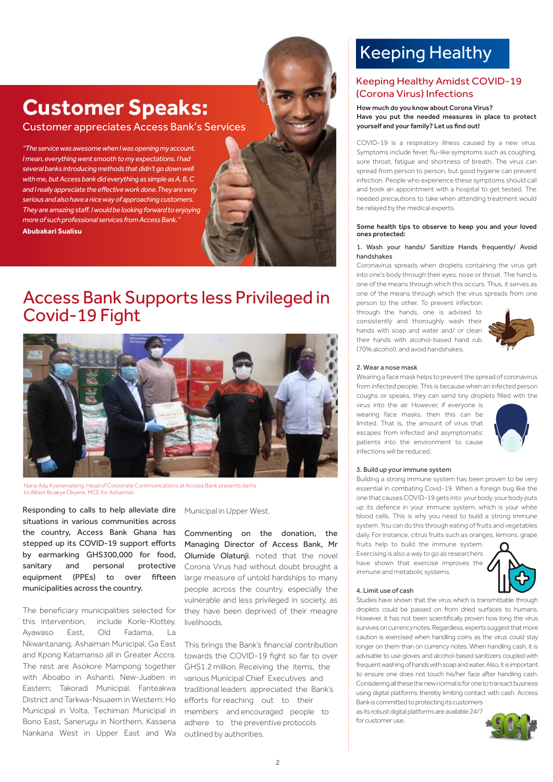# **Customer Speaks:**

Customer appreciates Access Bank's Services

*"Theservicewas awesome whenI was opening myaccount. I mean,everything went smooth to my expectations. I had severalbanks introducing methodsthat didn'tgodownwell withme,butAccess bank did everything as simple as A, B, C and I really appreciate the effective work done.They are very serious andalsohave a nice way of approaching customers. They are amazing staff. I would be looking forward to enjoying moreof such professional services from Access Bank."* **Abubakari Sualisu**



### Access Bank Supports less Privileged in Covid-19 Fight



Nana Adu Kyeremateng, Head of Corporate Communications at Access Bank presents items to Albert Boakye Okyere, MCE for Ashaiman

Responding to calls to help alleviate dire situations in various communities across the country, Access Bank Ghana has stepped up its COVID-19 support efforts by earmarking GHS300,000 for food, sanitary and personal protective equipment (PPEs) to over fifteen municipalities across the country.

The beneficiary municipalities selected for this intervention, include Korle-Klottey, Ayawaso East, Old Fadama, La Nkwantanang, Ashaiman Municipal, Ga East and Kpong Katamanso all in Greater Accra. The rest are Asokore Mampong together with Aboabo in Ashanti, New-Juaben in Eastern; Takoradi Municipal, Fanteakwa District and Tarkwa-Nsuaem in Western; Ho Municipal in Volta, Techiman Municipal in Bono East, Sanerugu in Northern, Kassena Nankana West in Upper East and Wa

Municipal in Upper West.

Commenting on the donation, the Managing Director of Access Bank, Mr Olumide Olatunji, noted that the novel Corona Virus had without doubt brought a large measure of untold hardships to many people across the country, especially the vulnerable and less privileged in society, as they have been deprived of their meagre livelihoods.

This brings the Bank's financial contribution towards the COVID-19 fight so far to over GHS1.2 million. Receiving the items, the various Municipal Chief Executives and traditional leaders appreciated the Bank's efforts for reaching out to their members and encouraged people to adhere to the preventive protocols outlined by authorities.

# Keeping Healthy

### Keeping Healthy Amidst COVID-19 (Corona Virus) Infections

#### How much do you know about Corona Virus? Have you put the needed measures in place to protect yourself and your family? Let us find out!

COVID-19 is a respiratory illness caused by a new virus. Symptoms include fever, flu-like symptoms such as coughing, sore throat, fatigue and shortness of breath. The virus can spread from person to person, but good hygiene can prevent infection. People who experience these symptoms should call and book an appointment with a hospital to get tested. The needed precautions to take when attending treatment would be relayed by the medical experts.

#### Some health tips to observe to keep you and your loved ones protected:

#### 1. Wash your hands/ Sanitize Hands frequently/ Avoid handshakes

Coronavirus spreads when droplets containing the virus get into one's body through their eyes, nose or throat. The hand is one of the means through which this occurs. Thus, it serves as one of the means through which the virus spreads from one

person to the other. To prevent infection through the hands, one is advised to consistently and thoroughly wash their hands with soap and water and/ or clean their hands with alcohol-based hand rub (70% alcohol), and avoid handshakes.



#### 2. Wear a nose mask

Wearing a face mask helps to prevent the spread of coronavirus from infected people. This is because when an infected person coughs or speaks, they can send tiny droplets filled with the

virus into the air. However, if everyone is wearing face masks, then this can be limited. That is, the amount of virus that escapes from infected and asymptomatic patients into the environment to cause infections will be reduced.



#### 3. Build up your immune system

Building a strong immune system has been proven to be very essential in combating Covid-19. When a foreign bug like the one that causesCOVID-19 gets into your body, your body puts up its defence in your immune system, which is your white blood cells. This is why you need to build a strong immune system. You can do this through eating of fruits and vegetables daily. For instance, citrus fruits such as oranges, lemons, grape

fruits help to build the immune system. Exercising is also a way to go as researchers have shown that exercise improves the immune and metabolic systems.



#### 4. Limit use of cash

Studies have shown that the virus which is transmittable through droplets could be passed on from dried surfaces to humans. However, it has not been scientifically proven how long the virus survives on currency notes. Regardless, experts suggest that more caution is exercised when handling coins as the virus could stay longer on them than on currency notes. When handling cash, it is advisable to use gloves and alcohol-based sanitizers coupled with frequent washing of hands with soap and water. Also, it is important to ensure one does not touch his/her face after handling cash. Considering all these the new normal is for one to transact business using digital platforms thereby limiting contact with cash. Access Bank is committed to protecting its customers

as its robust digital platforms are available 24/7 for customer use.

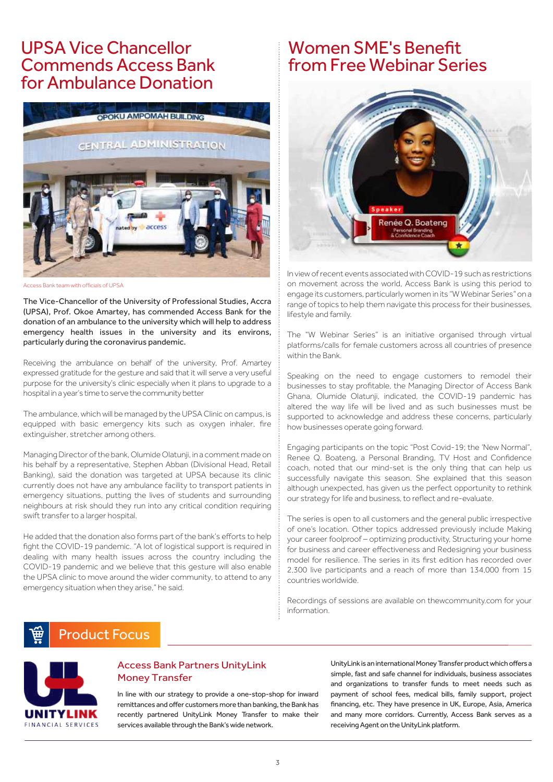## UPSA ViceChancellor Commends Access Bank for Ambulance Donation



Access Bank team with officials of UPSA

The Vice-Chancellor of the University of Professional Studies, Accra (UPSA), Prof. Okoe Amartey, has commended Access Bank for the donation of an ambulance to the university which will help to address emergency health issues in the university and its environs, particularly during the coronavirus pandemic.

Receiving the ambulance on behalf of the university, Prof. Amartey expressed gratitude for the gesture and said that it will serve a very useful purpose for the university's clinic especially when it plans to upgrade to a hospital in a year's time to serve the community better

The ambulance, which will be managed by the UPSA Clinic on campus, is equipped with basic emergency kits such as oxygen inhaler, fire extinguisher, stretcher among others.

Managing Director of the bank, Olumide Olatunji, in a comment made on his behalf by a representative, Stephen Abban (Divisional Head, Retail Banking), said the donation was targeted at UPSA because its clinic currently does not have any ambulance facility to transport patients in emergency situations, putting the lives of students and surrounding neighbours at risk should they run into any critical condition requiring swift transfer to a larger hospital.

He added that the donation also forms part of the bank's efforts to help fight the COVID-19 pandemic. "A lot of logistical support is required in dealing with many health issues across the country including the COVID-19 pandemic and we believe that this gesture will also enable the UPSA clinic to move around the wider community, to attend to any emergency situation when they arise," he said.

## Women SME's Benefit from Free Webinar Series



In viewofrecent events associatedwithCOVID-19 such as restrictions on movement across the world, Access Bank is using this period to engage its customers, particularlywomen in its "W Webinar Series" on a range of topics to help them navigate this process for their businesses, lifestyle and family.

The "W Webinar Series" is an initiative organised through virtual platforms/calls for female customers across all countries of presence within the Bank.

Speaking on the need to engage customers to remodel their businesses to stay profitable, the Managing Director of Access Bank Ghana, Olumide Olatunji, indicated, the COVID-19 pandemic has altered the way life will be lived and as such businesses must be supported to acknowledge and address these concerns, particularly how businesses operate going forward.

Engaging participants on the topic "Post Covid-19; the 'New Normal", Renee Q. Boateng, a Personal Branding, TV Host and Confidence coach, noted that our mind-set is the only thing that can help us successfully navigate this season. She explained that this season although unexpected, has given us the perfect opportunity to rethink our strategy for life and business, to reflect and re-evaluate.

The series is open to all customers and the general public irrespective of one's location. Other topics addressed previously include Making your career foolproof – optimizing productivity, Structuring your home for business and career effectiveness and Redesigning your business model for resilience. The series in its first edition has recorded over 2,300 live participants and a reach of more than 134,000 from 15 countries worldwide.

Recordings of sessions are available on thewcommunity.com for your information.

### Product Focus



### Access Bank Partners UnityLink Money Transfer

In line with our strategy to provide a one-stop-shop for inward remittances and offer customers more than banking, the Bank has recently partnered UnityLink Money Transfer to make their services available through the Bank's wide network.

UnityLink is an international Money Transfer product which offers a simple, fast and safe channel for individuals, business associates and organizations to transfer funds to meet needs such as payment of school fees, medical bills, family support, project financing, etc. They have presence in UK, Europe, Asia, America and many more corridors. Currently, Access Bank serves as a receiving Agent on the UnityLink platform.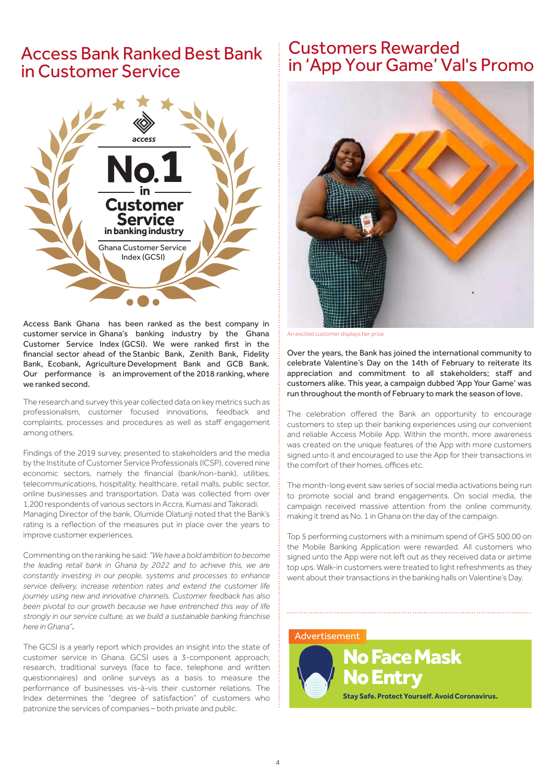### Access Bank Ranked Best Bank inCustomer Service



Access Bank Ghana has been ranked as the best company in customer service in Ghana's banking industry by the Ghana Customer Service Index (GCSI). We were ranked first in the financial sector ahead of the Stanbic Bank, Zenith Bank, Fidelity Bank, Ecobank, Agriculture Development Bank and GCB Bank. Our performance is an improvement of the 2018 ranking, where we ranked second.

The research and survey this year collected data on key metrics such as professionalism, customer focused innovations, feedback and complaints, processes and procedures as well as staff engagement among others.

Findings of the 2019 survey, presented to stakeholders and the media by the Institute of Customer Service Professionals (ICSP), covered nine economic sectors, namely the financial (bank/non-bank), utilities, telecommunications, hospitality, healthcare, retail malls, public sector, online businesses and transportation. Data was collected from over 1,200 respondents of various sectors in Accra, Kumasi and Takoradi.

Managing Director of the bank, Olumide Olatunji noted that the Bank's rating is a reflection of the measures put in place over the years to improve customer experiences.

Commenting on the ranking he said: *"We have a bold ambition to become the leading retail bank in Ghana by 2022 and to achieve this, we are constantly investing in our people, systems and processes to enhance service delivery, increase retention rates and extend the customer life journey using new and innovative channels. Customer feedback has also been pivotal to our growth because we have entrenched this way of life strongly in our service culture, as we build a sustainable banking franchise here in Ghana"*.

The GCSI is a yearly report which provides an insight into the state of customer service in Ghana. GCSI uses a 3-component approach; research, traditional surveys (face to face, telephone and written questionnaires) and online surveys as a basis to measure the performance of businesses vis-à-vis their customer relations. The Index determines the "degree of satisfaction" of customers who patronize the services of companies – both private and public.

### Customers Rewarded in 'App Your Game' Val's Promo



An excited customer displays her prize

Over the years, the Bank has joined the international community to celebrate Valentine's Day on the 14th of February to reiterate its appreciation and commitment to all stakeholders; staff and customers alike. This year, a campaign dubbed 'App Your Game' was run throughout the month of February to mark the season of love.

The celebration offered the Bank an opportunity to encourage customers to step up their banking experiences using our convenient and reliable Access Mobile App. Within the month, more awareness was created on the unique features of the App with more customers signed unto it and encouraged to use the App for their transactions in the comfort of their homes, offices etc.

The month-long event saw series of social media activations being run to promote social and brand engagements. On social media, the campaign received massive attention from the online community, making it trend as No. 1 in Ghana on the day of the campaign.

Top 5 performing customers with a minimum spend of GHS 500.00 on the Mobile Banking Application were rewarded. All customers who signed unto the App were not left out as they received data or airtime top ups. Walk-in customers were treated to light refreshments as they went about their transactions in the banking halls on Valentine's Day.

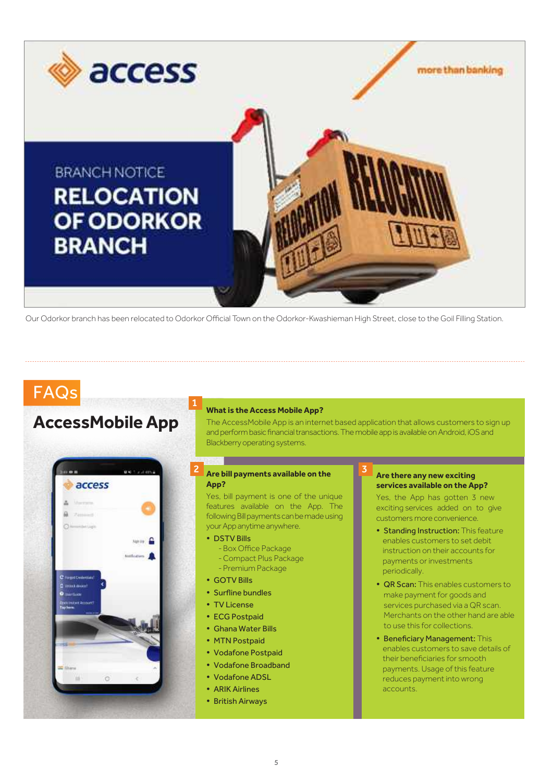

Our Odorkor branch has been relocated to Odorkor Official Town on the Odorkor-Kwashieman High Street, close to the Goil Filling Station.

# FAQs

## **AccessMobileApp**



#### **What is the Access Mobile App?**

The AccessMobile App is an internet based application that allows customers to sign up and perform basic financial transactions. The mobile app is available on Android, iOS and Blackberry operating systems.

### **Are bill payments available on the <b>2 Are there any new exciting App?**

Yes, bill payment is one of the unique features available on the App. The following Bill payments can be made using your App anytime anywhere.

DSTV Bills

1

- -Box Office Package
- -Compact Plus Package
- -Premium Package
- GOTV Bills
- Surfline bundles
- TV License
- ECG Postpaid
- Ghana Water Bills
- MTN Postpaid
- Vodafone Postpaid
- Vodafone Broadband
- Vodafone ADSL
- ARIK Airlines
- British Airways

### **services available on the App?**

Yes, the App has gotten 3 new exciting services added on to give customers more convenience.

- Standing Instruction: This feature enables customers to set debit instruction on their accounts for payments or investments periodically.
- QR Scan: This enables customers to make payment for goods and services purchased via a QR scan. Merchants on the other hand are able to use this for collections.
- Beneficiary Management: This enables customers to save details of their beneficiaries for smooth payments. Usage of this feature reduces payment into wrong accounts.